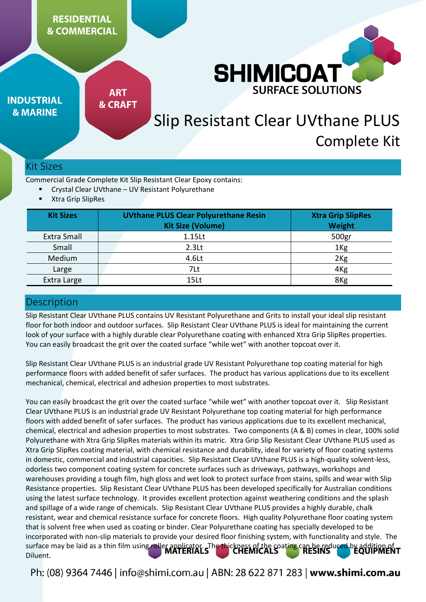## **RESIDENTIAL & COMMERCIAL**



**INDUSTRIAL & MARINE** 

**ART & CRAFT** 

# Slip Resistant Clear UVthane PLUS Complete Kit

## Kit Sizes

Commercial Grade Complete Kit Slip Resistant Clear Epoxy contains:

- Crystal Clear UVthane UV Resistant Polyurethane
- Xtra Grip SlipRes

| <b>Kit Sizes</b> | <b>UVthane PLUS Clear Polyurethane Resin</b><br><b>Kit Size (Volume)</b> | <b>Xtra Grip SlipRes</b><br>Weight |
|------------------|--------------------------------------------------------------------------|------------------------------------|
| Extra Small      | 1.15Lt                                                                   | 500gr                              |
| Small            | 2.3 <sub>kt</sub>                                                        | 1 <sub>Kg</sub>                    |
| Medium           | 4.6Lt                                                                    | 2 <sub>Kg</sub>                    |
| Large            | 7Lt                                                                      | 4 <sub>Kg</sub>                    |
| Extra Large      | 15Lt                                                                     | 8Kg                                |

## **Description**

Slip Resistant Clear UVthane PLUS contains UV Resistant Polyurethane and Grits to install your ideal slip resistant floor for both indoor and outdoor surfaces. Slip Resistant Clear UVthane PLUS is ideal for maintaining the current look of your surface with a highly durable clear Polyurethane coating with enhanced Xtra Grip SlipRes properties. You can easily broadcast the grit over the coated surface "while wet" with another topcoat over it.

Slip Resistant Clear UVthane PLUS is an industrial grade UV Resistant Polyurethane top coating material for high performance floors with added benefit of safer surfaces. The product has various applications due to its excellent mechanical, chemical, electrical and adhesion properties to most substrates.

You can easily broadcast the grit over the coated surface "while wet" with another topcoat over it. Slip Resistant Clear UVthane PLUS is an industrial grade UV Resistant Polyurethane top coating material for high performance floors with added benefit of safer surfaces. The product has various applications due to its excellent mechanical, chemical, electrical and adhesion properties to most substrates. Two components (A & B) comes in clear, 100% solid Polyurethane with Xtra Grip SlipRes materials within its matric. Xtra Grip Slip Resistant Clear UVthane PLUS used as Xtra Grip SlipRes coating material, with chemical resistance and durability, ideal for variety of floor coating systems in domestic, commercial and industrial capacities. Slip Resistant Clear UVthane PLUS is a high-quality solvent-less, odorless two component coating system for concrete surfaces such as driveways, pathways, workshops and warehouses providing a tough film, high gloss and wet look to protect surface from stains, spills and wear with Slip Resistance properties. Slip Resistant Clear UVthane PLUS has been developed specifically for Australian conditions using the latest surface technology. It provides excellent protection against weathering conditions and the splash and spillage of a wide range of chemicals. Slip Resistant Clear UVthane PLUS provides a highly durable, chalk resistant, wear and chemical resistance surface for concrete floors. High quality Polyurethane floor coating system that is solvent free when used as coating or binder. Clear Polyurethane coating has specially developed to be incorporated with non-slip materials to provide your desired floor finishing system, with functionality and style. The surface may be laid as a thin film using roller applicator. The thickness of the coating can be reduced by addition of Diluent.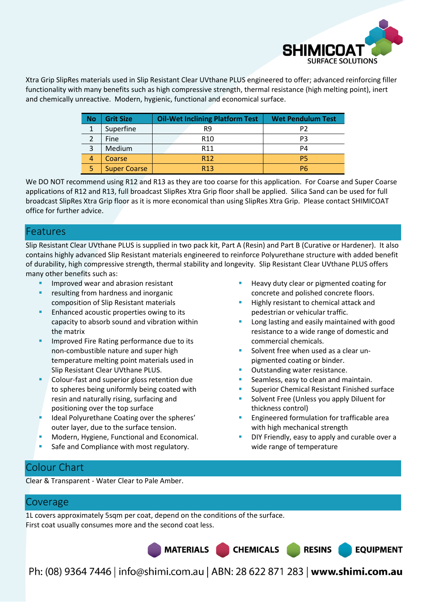

Xtra Grip SlipRes materials used in Slip Resistant Clear UVthane PLUS engineered to offer; advanced reinforcing filler functionality with many benefits such as high compressive strength, thermal resistance (high melting point), inert and chemically unreactive. Modern, hygienic, functional and economical surface.

| <b>No</b> | <b>Grit Size</b>    | <b>Oil-Wet Inclining Platform Test</b> | <b>Wet Pendulum Test</b> |
|-----------|---------------------|----------------------------------------|--------------------------|
|           | Superfine           | R9                                     | P2                       |
|           | Fine                | R <sub>10</sub>                        | P <sub>3</sub>           |
| 3         | Medium              | R <sub>11</sub>                        | P4                       |
| 4         | Coarse              | R <sub>12</sub>                        | P5                       |
| 5         | <b>Super Coarse</b> | R <sub>13</sub>                        | P6                       |

We DO NOT recommend using R12 and R13 as they are too coarse for this application. For Coarse and Super Coarse applications of R12 and R13, full broadcast SlipRes Xtra Grip floor shall be applied. Silica Sand can be used for full broadcast SlipRes Xtra Grip floor as it is more economical than using SlipRes Xtra Grip. Please contact SHIMICOAT office for further advice.

## Features

Slip Resistant Clear UVthane PLUS is supplied in two pack kit, Part A (Resin) and Part B (Curative or Hardener). It also contains highly advanced Slip Resistant materials engineered to reinforce Polyurethane structure with added benefit of durability, high compressive strength, thermal stability and longevity. Slip Resistant Clear UVthane PLUS offers many other benefits such as:

- Improved wear and abrasion resistant
- resulting from hardness and inorganic composition of Slip Resistant materials
- Enhanced acoustic properties owing to its capacity to absorb sound and vibration within the matrix
- Improved Fire Rating performance due to its non-combustible nature and super high temperature melting point materials used in Slip Resistant Clear UVthane PLUS.
- Colour-fast and superior gloss retention due to spheres being uniformly being coated with resin and naturally rising, surfacing and positioning over the top surface
- Ideal Polyurethane Coating over the spheres' outer layer, due to the surface tension.
- Modern, Hygiene, Functional and Economical.
- Safe and Compliance with most regulatory.
- Heavy duty clear or pigmented coating for concrete and polished concrete floors.
- Highly resistant to chemical attack and pedestrian or vehicular traffic.
- Long lasting and easily maintained with good resistance to a wide range of domestic and commercial chemicals.
- Solvent free when used as a clear unpigmented coating or binder.
- Outstanding water resistance.
- Seamless, easy to clean and maintain.
- Superior Chemical Resistant Finished surface
- Solvent Free (Unless you apply Diluent for thickness control)
- Engineered formulation for trafficable area with high mechanical strength
- DIY Friendly, easy to apply and curable over a wide range of temperature

**EQUIPMENT** 

## Colour Chart

Clear & Transparent - Water Clear to Pale Amber.

## Coverage

1L covers approximately 5sqm per coat, depend on the conditions of the surface. First coat usually consumes more and the second coat less.

MATERIALS CHEMICALS RESINS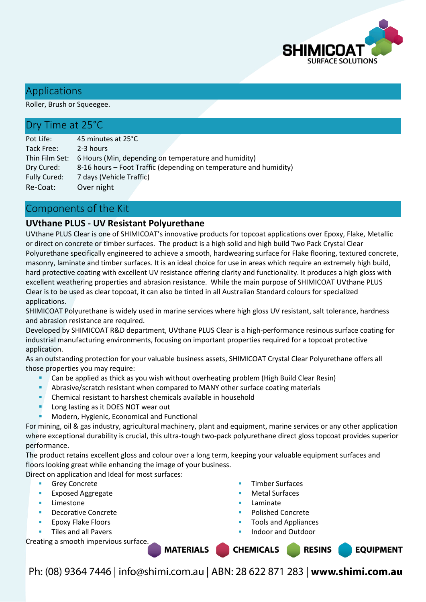

## Applications

Roller, Brush or Squeegee.

## Dry Time at 25°C

Pot Life: 45 minutes at 25°C Tack Free: 2-3 hours Thin Film Set: 6 Hours (Min, depending on temperature and humidity) Dry Cured: 8-16 hours – Foot Traffic (depending on temperature and humidity) Fully Cured: 7 days (Vehicle Traffic) Re-Coat: Over night

## Components of the Kit

### **UVthane PLUS - UV Resistant Polyurethane**

UVthane PLUS Clear is one of SHIMICOAT's innovative products for topcoat applications over Epoxy, Flake, Metallic or direct on concrete or timber surfaces. The product is a high solid and high build Two Pack Crystal Clear Polyurethane specifically engineered to achieve a smooth, hardwearing surface for Flake flooring, textured concrete, masonry, laminate and timber surfaces. It is an ideal choice for use in areas which require an extremely high build, hard protective coating with excellent UV resistance offering clarity and functionality. It produces a high gloss with excellent weathering properties and abrasion resistance. While the main purpose of SHIMICOAT UVthane PLUS Clear is to be used as clear topcoat, it can also be tinted in all Australian Standard colours for specialized applications.

SHIMICOAT Polyurethane is widely used in marine services where high gloss UV resistant, salt tolerance, hardness and abrasion resistance are required.

Developed by SHIMICOAT R&D department, UVthane PLUS Clear is a high-performance resinous surface coating for industrial manufacturing environments, focusing on important properties required for a topcoat protective application.

As an outstanding protection for your valuable business assets, SHIMICOAT Crystal Clear Polyurethane offers all those properties you may require:

- Can be applied as thick as you wish without overheating problem (High Build Clear Resin)
- Abrasive/scratch resistant when compared to MANY other surface coating materials
- **Chemical resistant to harshest chemicals available in household**
- Long lasting as it DOES NOT wear out
- Modern, Hygienic, Economical and Functional

For mining, oil & gas industry, agricultural machinery, plant and equipment, marine services or any other application where exceptional durability is crucial, this ultra-tough two-pack polyurethane direct gloss topcoat provides superior performance.

The product retains excellent gloss and colour over a long term, keeping your valuable equipment surfaces and floors looking great while enhancing the image of your business.

Direct on application and Ideal for most surfaces:

- Grey Concrete
- Exposed Aggregate
- Limestone
- Decorative Concrete
- Epoxy Flake Floors
- Tiles and all Pavers

Creating a smooth impervious surface.

- Timber Surfaces
- Metal Surfaces
- Laminate

**CHEMICALS** 

- Polished Concrete
- Tools and Appliances
- Indoor and Outdoor

**RESINS** 

**EQUIPMENT** 

Ph: (08) 9364 7446 | info@shimi.com.au | ABN: 28 622 871 283 | www.shimi.com.au

**MATERIALS**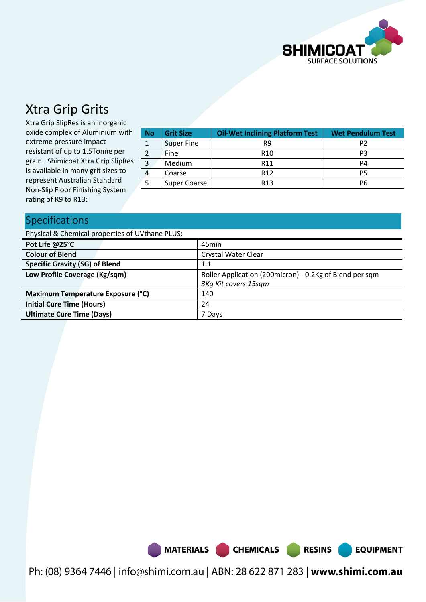

## Xtra Grip Grits

Xtra Grip SlipRes is an inorganic oxide complex of Aluminium with extreme pressure impact resistant of up to 1.5Tonne per grain. Shimicoat Xtra Grip SlipRes is available in many grit sizes to represent Australian Standard Non-Slip Floor Finishing System rating of R9 to R13:

| <b>Grit Size</b><br><b>No</b> |                     | <b>Oil-Wet Inclining Platform Test</b> | <b>Wet Pendulum Test</b> |  |
|-------------------------------|---------------------|----------------------------------------|--------------------------|--|
|                               | <b>Super Fine</b>   | R9                                     | P2                       |  |
|                               | <b>Fine</b>         | R <sub>10</sub>                        | P3                       |  |
| 3                             | Medium              | R <sub>11</sub>                        | P4                       |  |
| 4                             | Coarse              | R <sub>12</sub>                        | <b>P5</b>                |  |
|                               | <b>Super Coarse</b> | R <sub>13</sub>                        | P6                       |  |

## Specifications

| Physical & Chemical properties of UVthane PLUS: |                                                         |  |  |
|-------------------------------------------------|---------------------------------------------------------|--|--|
| Pot Life @25°C                                  | 45min                                                   |  |  |
| <b>Colour of Blend</b>                          | <b>Crystal Water Clear</b>                              |  |  |
| <b>Specific Gravity (SG) of Blend</b>           | 1.1                                                     |  |  |
| Low Profile Coverage (Kg/sqm)                   | Roller Application (200micron) - 0.2Kg of Blend per sqm |  |  |
|                                                 | 3Kg Kit covers 15sqm                                    |  |  |
| Maximum Temperature Exposure (°C)               | 140                                                     |  |  |
| <b>Initial Cure Time (Hours)</b>                | 24                                                      |  |  |
| <b>Ultimate Cure Time (Days)</b>                | 7 Days                                                  |  |  |



Ph: (08) 9364 7446 | info@shimi.com.au | ABN: 28 622 871 283 | www.shimi.com.au

RESINS

**EQUIPMENT**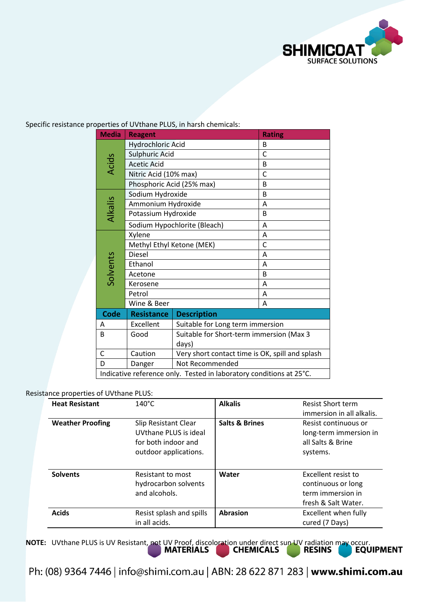

|                                                                     | <b>Media</b> | <b>Reagent</b>               | <b>Rating</b>                                   |   |  |
|---------------------------------------------------------------------|--------------|------------------------------|-------------------------------------------------|---|--|
|                                                                     |              | <b>Hydrochloric Acid</b>     |                                                 | B |  |
|                                                                     |              | <b>Sulphuric Acid</b>        | C                                               |   |  |
|                                                                     | <b>Acids</b> | <b>Acetic Acid</b>           | B                                               |   |  |
|                                                                     |              |                              | Nitric Acid (10% max)                           |   |  |
|                                                                     |              |                              | Phosphoric Acid (25% max)                       | B |  |
|                                                                     |              | Sodium Hydroxide             |                                                 | B |  |
|                                                                     |              | Ammonium Hydroxide           |                                                 | A |  |
|                                                                     | Alkalis      |                              | Potassium Hydroxide                             |   |  |
|                                                                     |              | Sodium Hypochlorite (Bleach) |                                                 | A |  |
|                                                                     |              | Xylene                       |                                                 | A |  |
|                                                                     |              | Methyl Ethyl Ketone (MEK)    | C                                               |   |  |
|                                                                     |              | <b>Diesel</b>                | A                                               |   |  |
|                                                                     | Solvents     | Ethanol                      | A                                               |   |  |
|                                                                     |              | Acetone                      |                                                 | B |  |
|                                                                     |              | Kerosene                     |                                                 | A |  |
|                                                                     |              | Petrol                       |                                                 | A |  |
|                                                                     |              | Wine & Beer                  |                                                 | A |  |
|                                                                     | <b>Code</b>  | <b>Resistance</b>            | <b>Description</b>                              |   |  |
|                                                                     | A            | Excellent                    | Suitable for Long term immersion                |   |  |
| B                                                                   |              | Good                         | Suitable for Short-term immersion (Max 3        |   |  |
|                                                                     |              |                              | days)                                           |   |  |
|                                                                     | $\mathsf{C}$ | Caution                      | Very short contact time is OK, spill and splash |   |  |
|                                                                     | D            | Danger                       | Not Recommended                                 |   |  |
| Indicative reference only. Tested in laboratory conditions at 25°C. |              |                              |                                                 |   |  |

Specific resistance properties of UVthane PLUS, in harsh chemicals:

### Resistance properties of UVthane PLUS:

| <b>Heat Resistant</b>   | $140^{\circ}$ C                                                                                      | <b>Alkalis</b>            | <b>Resist Short term</b><br>immersion in all alkalis.                                 |
|-------------------------|------------------------------------------------------------------------------------------------------|---------------------------|---------------------------------------------------------------------------------------|
| <b>Weather Proofing</b> | <b>Slip Resistant Clear</b><br>UVthane PLUS is ideal<br>for both indoor and<br>outdoor applications. | <b>Salts &amp; Brines</b> | Resist continuous or<br>long-term immersion in<br>all Salts & Brine<br>systems.       |
| <b>Solvents</b>         | Resistant to most<br>hydrocarbon solvents<br>and alcohols.                                           | Water                     | Excellent resist to<br>continuous or long<br>term immersion in<br>fresh & Salt Water. |
| <b>Acids</b>            | Resist splash and spills<br>in all acids.                                                            | <b>Abrasion</b>           | Excellent when fully<br>cured (7 Days)                                                |

**NOTE:** UVthane PLUS is UV Resistant, not UV Proof, discoloration under direct sun UV radiation may occur.<br>**MATERIALS CHEMICALS RESINS EQUIPMENT**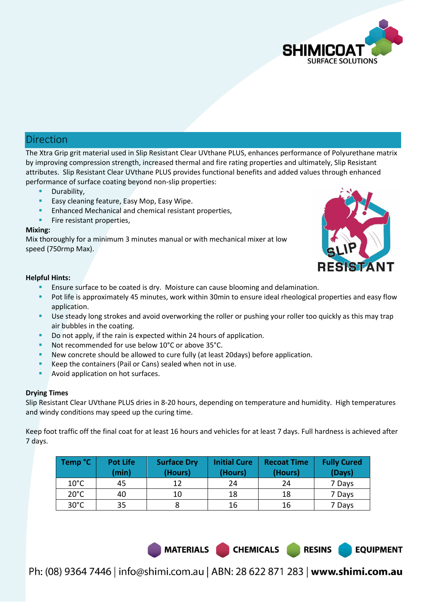

## Direction

The Xtra Grip grit material used in Slip Resistant Clear UVthane PLUS, enhances performance of Polyurethane matrix by improving compression strength, increased thermal and fire rating properties and ultimately, Slip Resistant attributes. Slip Resistant Clear UVthane PLUS provides functional benefits and added values through enhanced performance of surface coating beyond non-slip properties:

- Durability,
- Easy cleaning feature, Easy Mop, Easy Wipe.
- Enhanced Mechanical and chemical resistant properties,
- Fire resistant properties,

### **Mixing:**

Mix thoroughly for a minimum 3 minutes manual or with mechanical mixer at low speed (750rmp Max).



### **Helpful Hints:**

- Ensure surface to be coated is dry. Moisture can cause blooming and delamination.
- Pot life is approximately 45 minutes, work within 30min to ensure ideal rheological properties and easy flow application.
- Use steady long strokes and avoid overworking the roller or pushing your roller too quickly as this may trap air bubbles in the coating.
- Do not apply, if the rain is expected within 24 hours of application.
- Not recommended for use below 10°C or above 35°C.
- New concrete should be allowed to cure fully (at least 20days) before application.
- Keep the containers (Pail or Cans) sealed when not in use.
- Avoid application on hot surfaces.

### **Drying Times**

Slip Resistant Clear UVthane PLUS dries in 8-20 hours, depending on temperature and humidity. High temperatures and windy conditions may speed up the curing time.

Keep foot traffic off the final coat for at least 16 hours and vehicles for at least 7 days. Full hardness is achieved after 7 days.

| Temp °C        | <b>Pot Life</b><br>(min) | <b>Surface Dry</b><br>(Hours) | <b>Initial Cure</b><br>(Hours) | <b>Recoat Time</b><br>(Hours) | <b>Fully Cured</b><br>(Days) |
|----------------|--------------------------|-------------------------------|--------------------------------|-------------------------------|------------------------------|
| $10^{\circ}$ C | 45                       | 12                            | 24                             | 24                            | 7 Days                       |
| $20^{\circ}$ C | 40                       | 10                            | 18                             | 18                            | 7 Days                       |
| $30^{\circ}$ C | 35                       |                               | 16                             | 16                            | 7 Days                       |

MATERIALS CHEMICALS

**RESINS**